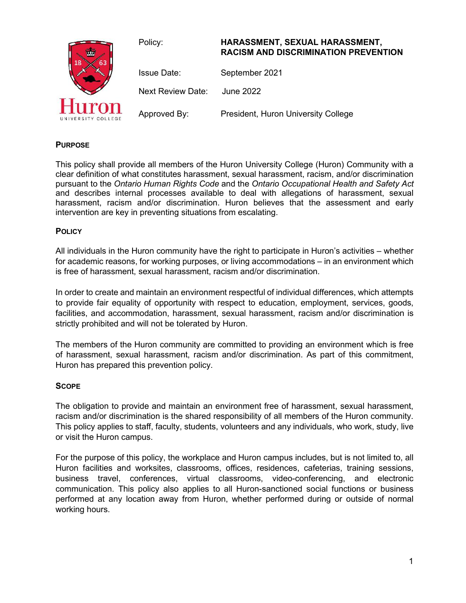

# **PURPOSE**

This policy shall provide all members of the Huron University College (Huron) Community with a clear definition of what constitutes harassment, sexual harassment, racism, and/or discrimination pursuant to the *Ontario Human Rights Code* and the *Ontario Occupational Health and Safety Act*  and describes internal processes available to deal with allegations of harassment, sexual harassment, racism and/or discrimination. Huron believes that the assessment and early intervention are key in preventing situations from escalating.

### **POLICY**

All individuals in the Huron community have the right to participate in Huron's activities – whether for academic reasons, for working purposes, or living accommodations – in an environment which is free of harassment, sexual harassment, racism and/or discrimination.

In order to create and maintain an environment respectful of individual differences, which attempts to provide fair equality of opportunity with respect to education, employment, services, goods, facilities, and accommodation, harassment, sexual harassment, racism and/or discrimination is strictly prohibited and will not be tolerated by Huron.

The members of the Huron community are committed to providing an environment which is free of harassment, sexual harassment, racism and/or discrimination. As part of this commitment, Huron has prepared this prevention policy.

# **SCOPE**

The obligation to provide and maintain an environment free of harassment, sexual harassment, racism and/or discrimination is the shared responsibility of all members of the Huron community. This policy applies to staff, faculty, students, volunteers and any individuals, who work, study, live or visit the Huron campus.

For the purpose of this policy, the workplace and Huron campus includes, but is not limited to, all Huron facilities and worksites, classrooms, offices, residences, cafeterias, training sessions, business travel, conferences, virtual classrooms, video-conferencing, and electronic communication. This policy also applies to all Huron-sanctioned social functions or business performed at any location away from Huron, whether performed during or outside of normal working hours.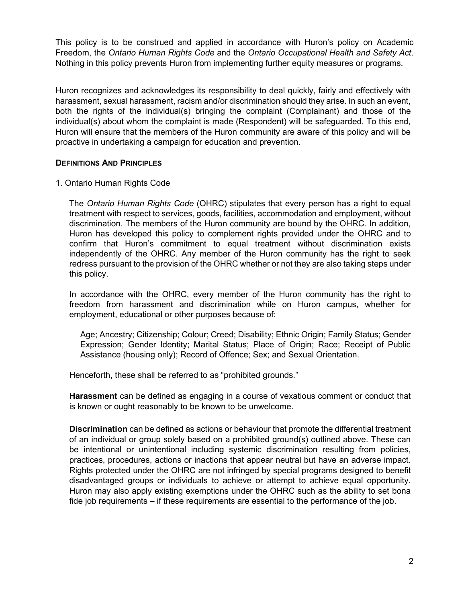This policy is to be construed and applied in accordance with Huron's policy on Academic Freedom, the *Ontario Human Rights Code* and the *Ontario Occupational Health and Safety Act*. Nothing in this policy prevents Huron from implementing further equity measures or programs.

Huron recognizes and acknowledges its responsibility to deal quickly, fairly and effectively with harassment, sexual harassment, racism and/or discrimination should they arise. In such an event, both the rights of the individual(s) bringing the complaint (Complainant) and those of the individual(s) about whom the complaint is made (Respondent) will be safeguarded. To this end, Huron will ensure that the members of the Huron community are aware of this policy and will be proactive in undertaking a campaign for education and prevention.

# **DEFINITIONS AND PRINCIPLES**

1. Ontario Human Rights Code

The *Ontario Human Rights Code* (OHRC) stipulates that every person has a right to equal treatment with respect to services, goods, facilities, accommodation and employment, without discrimination. The members of the Huron community are bound by the OHRC. In addition, Huron has developed this policy to complement rights provided under the OHRC and to confirm that Huron's commitment to equal treatment without discrimination exists independently of the OHRC. Any member of the Huron community has the right to seek redress pursuant to the provision of the OHRC whether or not they are also taking steps under this policy.

In accordance with the OHRC, every member of the Huron community has the right to freedom from harassment and discrimination while on Huron campus, whether for employment, educational or other purposes because of:

Age; Ancestry; Citizenship; Colour; Creed; Disability; Ethnic Origin; Family Status; Gender Expression; Gender Identity; Marital Status; Place of Origin; Race; Receipt of Public Assistance (housing only); Record of Offence; Sex; and Sexual Orientation.

Henceforth, these shall be referred to as "prohibited grounds."

**Harassment** can be defined as engaging in a course of vexatious comment or conduct that is known or ought reasonably to be known to be unwelcome.

**Discrimination** can be defined as actions or behaviour that promote the differential treatment of an individual or group solely based on a prohibited ground(s) outlined above. These can be intentional or unintentional including systemic discrimination resulting from policies, practices, procedures, actions or inactions that appear neutral but have an adverse impact. Rights protected under the OHRC are not infringed by special programs designed to benefit disadvantaged groups or individuals to achieve or attempt to achieve equal opportunity. Huron may also apply existing exemptions under the OHRC such as the ability to set bona fide job requirements – if these requirements are essential to the performance of the job.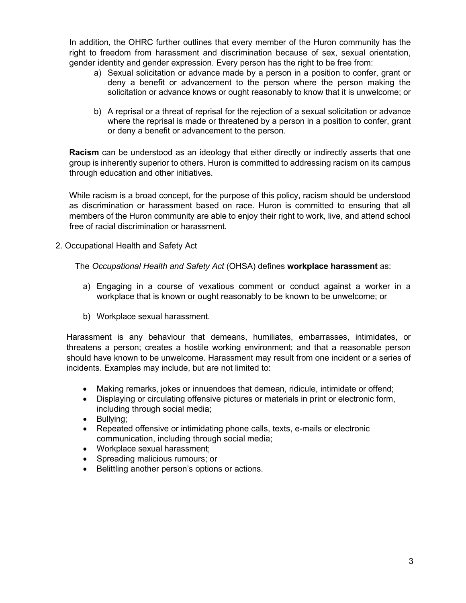In addition, the OHRC further outlines that every member of the Huron community has the right to freedom from harassment and discrimination because of sex, sexual orientation, gender identity and gender expression. Every person has the right to be free from:

- a) Sexual solicitation or advance made by a person in a position to confer, grant or deny a benefit or advancement to the person where the person making the solicitation or advance knows or ought reasonably to know that it is unwelcome; or
- b) A reprisal or a threat of reprisal for the rejection of a sexual solicitation or advance where the reprisal is made or threatened by a person in a position to confer, grant or deny a benefit or advancement to the person.

**Racism** can be understood as an ideology that either directly or indirectly asserts that one group is inherently superior to others. Huron is committed to addressing racism on its campus through education and other initiatives.

While racism is a broad concept, for the purpose of this policy, racism should be understood as discrimination or harassment based on race. Huron is committed to ensuring that all members of the Huron community are able to enjoy their right to work, live, and attend school free of racial discrimination or harassment.

2. Occupational Health and Safety Act

The *Occupational Health and Safety Act* (OHSA) defines **workplace harassment** as:

- a) Engaging in a course of vexatious comment or conduct against a worker in a workplace that is known or ought reasonably to be known to be unwelcome; or
- b) Workplace sexual harassment.

Harassment is any behaviour that demeans, humiliates, embarrasses, intimidates, or threatens a person; creates a hostile working environment; and that a reasonable person should have known to be unwelcome. Harassment may result from one incident or a series of incidents. Examples may include, but are not limited to:

- Making remarks, jokes or innuendoes that demean, ridicule, intimidate or offend;
- Displaying or circulating offensive pictures or materials in print or electronic form, including through social media;
- Bullying;
- Repeated offensive or intimidating phone calls, texts, e-mails or electronic communication, including through social media;
- Workplace sexual harassment;
- Spreading malicious rumours; or
- Belittling another person's options or actions.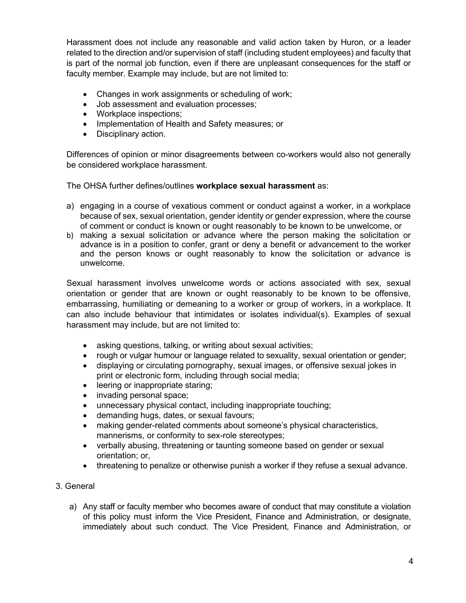Harassment does not include any reasonable and valid action taken by Huron, or a leader related to the direction and/or supervision of staff (including student employees) and faculty that is part of the normal job function, even if there are unpleasant consequences for the staff or faculty member. Example may include, but are not limited to:

- Changes in work assignments or scheduling of work;
- Job assessment and evaluation processes;
- Workplace inspections:
- Implementation of Health and Safety measures; or
- Disciplinary action.

Differences of opinion or minor disagreements between co-workers would also not generally be considered workplace harassment.

The OHSA further defines/outlines **workplace sexual harassment** as:

- a) engaging in a course of vexatious comment or conduct against a worker, in a workplace because of sex, sexual orientation, gender identity or gender expression, where the course of comment or conduct is known or ought reasonably to be known to be unwelcome, or
- b) making a sexual solicitation or advance where the person making the solicitation or advance is in a position to confer, grant or deny a benefit or advancement to the worker and the person knows or ought reasonably to know the solicitation or advance is unwelcome.

Sexual harassment involves unwelcome words or actions associated with sex, sexual orientation or gender that are known or ought reasonably to be known to be offensive, embarrassing, humiliating or demeaning to a worker or group of workers, in a workplace. It can also include behaviour that intimidates or isolates individual(s). Examples of sexual harassment may include, but are not limited to:

- asking questions, talking, or writing about sexual activities;
- rough or vulgar humour or language related to sexuality, sexual orientation or gender;
- displaying or circulating pornography, sexual images, or offensive sexual jokes in print or electronic form, including through social media;
- leering or inappropriate staring;
- invading personal space;
- unnecessary physical contact, including inappropriate touching;
- demanding hugs, dates, or sexual favours;
- making gender-related comments about someone's physical characteristics, mannerisms, or conformity to sex-role stereotypes;
- verbally abusing, threatening or taunting someone based on gender or sexual orientation; or,
- threatening to penalize or otherwise punish a worker if they refuse a sexual advance.
- 3. General
	- a) Any staff or faculty member who becomes aware of conduct that may constitute a violation of this policy must inform the Vice President, Finance and Administration, or designate, immediately about such conduct. The Vice President, Finance and Administration, or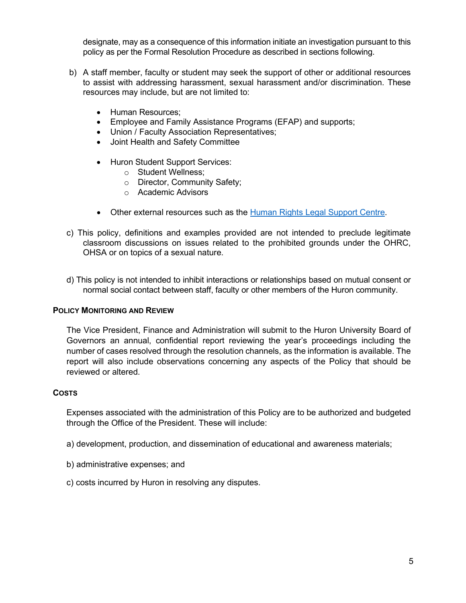designate, may as a consequence of this information initiate an investigation pursuant to this policy as per the Formal Resolution Procedure as described in sections following.

- b) A staff member, faculty or student may seek the support of other or additional resources to assist with addressing harassment, sexual harassment and/or discrimination. These resources may include, but are not limited to:
	- Human Resources;
	- Employee and Family Assistance Programs (EFAP) and supports;
	- Union / Faculty Association Representatives;
	- Joint Health and Safety Committee
	- Huron Student Support Services:
		- o Student Wellness;
		- o Director, Community Safety;
		- o Academic Advisors
	- Other external resources such as the [Human Rights Legal Support Centre.](https://www.hrlsc.on.ca/en/welcome)
- c) This policy, definitions and examples provided are not intended to preclude legitimate classroom discussions on issues related to the prohibited grounds under the OHRC, OHSA or on topics of a sexual nature.
- d) This policy is not intended to inhibit interactions or relationships based on mutual consent or normal social contact between staff, faculty or other members of the Huron community.

# **POLICY MONITORING AND REVIEW**

The Vice President, Finance and Administration will submit to the Huron University Board of Governors an annual, confidential report reviewing the year's proceedings including the number of cases resolved through the resolution channels, as the information is available. The report will also include observations concerning any aspects of the Policy that should be reviewed or altered.

# **COSTS**

Expenses associated with the administration of this Policy are to be authorized and budgeted through the Office of the President. These will include:

- a) development, production, and dissemination of educational and awareness materials;
- b) administrative expenses; and
- c) costs incurred by Huron in resolving any disputes.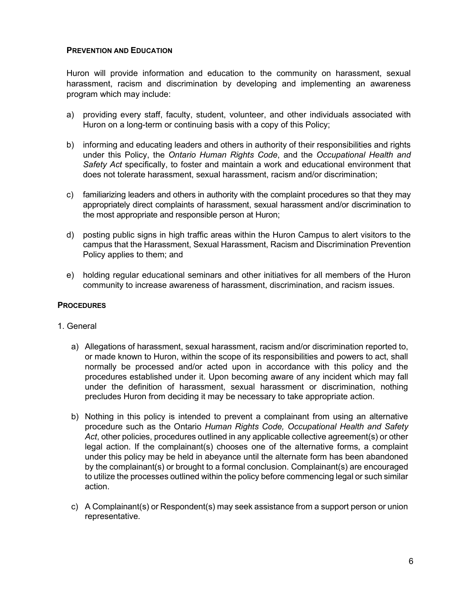### **PREVENTION AND EDUCATION**

Huron will provide information and education to the community on harassment, sexual harassment, racism and discrimination by developing and implementing an awareness program which may include:

- a) providing every staff, faculty, student, volunteer, and other individuals associated with Huron on a long-term or continuing basis with a copy of this Policy;
- b) informing and educating leaders and others in authority of their responsibilities and rights under this Policy, the *Ontario Human Rights Code*, and the *Occupational Health and Safety Act* specifically, to foster and maintain a work and educational environment that does not tolerate harassment, sexual harassment, racism and/or discrimination;
- c) familiarizing leaders and others in authority with the complaint procedures so that they may appropriately direct complaints of harassment, sexual harassment and/or discrimination to the most appropriate and responsible person at Huron;
- d) posting public signs in high traffic areas within the Huron Campus to alert visitors to the campus that the Harassment, Sexual Harassment, Racism and Discrimination Prevention Policy applies to them; and
- e) holding regular educational seminars and other initiatives for all members of the Huron community to increase awareness of harassment, discrimination, and racism issues.

#### **PROCEDURES**

#### 1. General

- a) Allegations of harassment, sexual harassment, racism and/or discrimination reported to, or made known to Huron, within the scope of its responsibilities and powers to act, shall normally be processed and/or acted upon in accordance with this policy and the procedures established under it. Upon becoming aware of any incident which may fall under the definition of harassment, sexual harassment or discrimination, nothing precludes Huron from deciding it may be necessary to take appropriate action.
- b) Nothing in this policy is intended to prevent a complainant from using an alternative procedure such as the Ontario *Human Rights Code, Occupational Health and Safety Act*, other policies, procedures outlined in any applicable collective agreement(s) or other legal action. If the complainant(s) chooses one of the alternative forms, a complaint under this policy may be held in abeyance until the alternate form has been abandoned by the complainant(s) or brought to a formal conclusion. Complainant(s) are encouraged to utilize the processes outlined within the policy before commencing legal or such similar action.
- c) A Complainant(s) or Respondent(s) may seek assistance from a support person or union representative.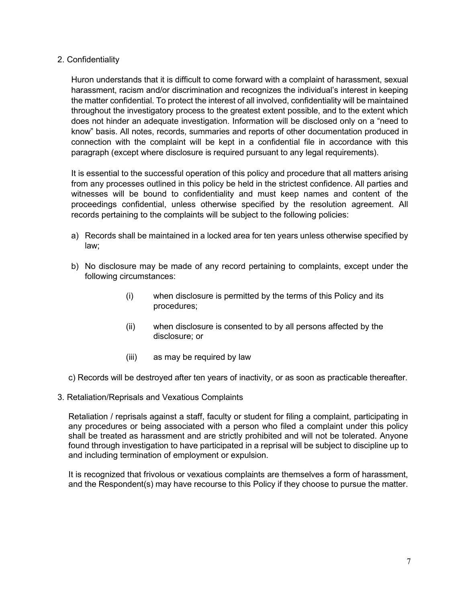# 2. Confidentiality

Huron understands that it is difficult to come forward with a complaint of harassment, sexual harassment, racism and/or discrimination and recognizes the individual's interest in keeping the matter confidential. To protect the interest of all involved, confidentiality will be maintained throughout the investigatory process to the greatest extent possible, and to the extent which does not hinder an adequate investigation. Information will be disclosed only on a "need to know" basis. All notes, records, summaries and reports of other documentation produced in connection with the complaint will be kept in a confidential file in accordance with this paragraph (except where disclosure is required pursuant to any legal requirements).

It is essential to the successful operation of this policy and procedure that all matters arising from any processes outlined in this policy be held in the strictest confidence. All parties and witnesses will be bound to confidentiality and must keep names and content of the proceedings confidential, unless otherwise specified by the resolution agreement. All records pertaining to the complaints will be subject to the following policies:

- a) Records shall be maintained in a locked area for ten years unless otherwise specified by law;
- b) No disclosure may be made of any record pertaining to complaints, except under the following circumstances:
	- (i) when disclosure is permitted by the terms of this Policy and its procedures;
	- (ii) when disclosure is consented to by all persons affected by the disclosure; or
	- (iii) as may be required by law
- c) Records will be destroyed after ten years of inactivity, or as soon as practicable thereafter.
- 3. Retaliation/Reprisals and Vexatious Complaints

Retaliation / reprisals against a staff, faculty or student for filing a complaint, participating in any procedures or being associated with a person who filed a complaint under this policy shall be treated as harassment and are strictly prohibited and will not be tolerated. Anyone found through investigation to have participated in a reprisal will be subject to discipline up to and including termination of employment or expulsion.

It is recognized that frivolous or vexatious complaints are themselves a form of harassment, and the Respondent(s) may have recourse to this Policy if they choose to pursue the matter.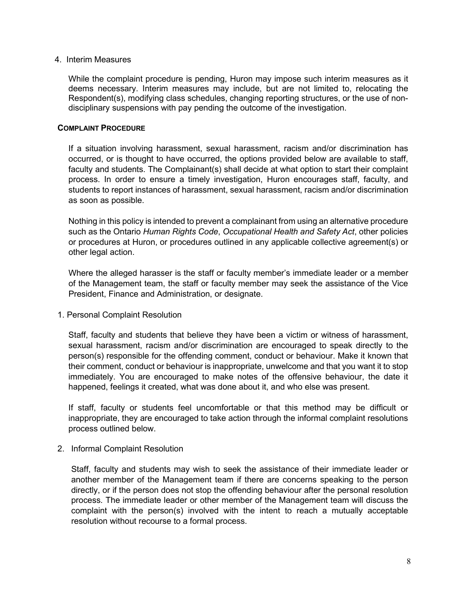#### 4. Interim Measures

While the complaint procedure is pending, Huron may impose such interim measures as it deems necessary. Interim measures may include, but are not limited to, relocating the Respondent(s), modifying class schedules, changing reporting structures, or the use of nondisciplinary suspensions with pay pending the outcome of the investigation.

### **COMPLAINT PROCEDURE**

If a situation involving harassment, sexual harassment, racism and/or discrimination has occurred, or is thought to have occurred, the options provided below are available to staff, faculty and students. The Complainant(s) shall decide at what option to start their complaint process. In order to ensure a timely investigation, Huron encourages staff, faculty, and students to report instances of harassment, sexual harassment, racism and/or discrimination as soon as possible.

Nothing in this policy is intended to prevent a complainant from using an alternative procedure such as the Ontario *Human Rights Code*, *Occupational Health and Safety Act*, other policies or procedures at Huron, or procedures outlined in any applicable collective agreement(s) or other legal action.

Where the alleged harasser is the staff or faculty member's immediate leader or a member of the Management team, the staff or faculty member may seek the assistance of the Vice President, Finance and Administration, or designate.

1. Personal Complaint Resolution

Staff, faculty and students that believe they have been a victim or witness of harassment, sexual harassment, racism and/or discrimination are encouraged to speak directly to the person(s) responsible for the offending comment, conduct or behaviour. Make it known that their comment, conduct or behaviour is inappropriate, unwelcome and that you want it to stop immediately. You are encouraged to make notes of the offensive behaviour, the date it happened, feelings it created, what was done about it, and who else was present.

If staff, faculty or students feel uncomfortable or that this method may be difficult or inappropriate, they are encouraged to take action through the informal complaint resolutions process outlined below.

2. Informal Complaint Resolution

Staff, faculty and students may wish to seek the assistance of their immediate leader or another member of the Management team if there are concerns speaking to the person directly, or if the person does not stop the offending behaviour after the personal resolution process. The immediate leader or other member of the Management team will discuss the complaint with the person(s) involved with the intent to reach a mutually acceptable resolution without recourse to a formal process.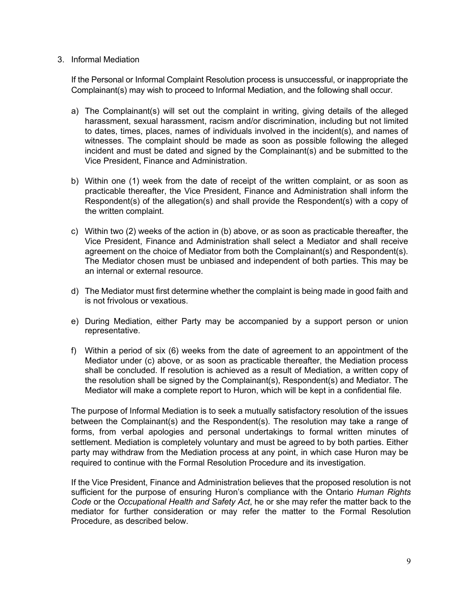#### 3. Informal Mediation

If the Personal or Informal Complaint Resolution process is unsuccessful, or inappropriate the Complainant(s) may wish to proceed to Informal Mediation, and the following shall occur.

- a) The Complainant(s) will set out the complaint in writing, giving details of the alleged harassment, sexual harassment, racism and/or discrimination, including but not limited to dates, times, places, names of individuals involved in the incident(s), and names of witnesses. The complaint should be made as soon as possible following the alleged incident and must be dated and signed by the Complainant(s) and be submitted to the Vice President, Finance and Administration.
- b) Within one (1) week from the date of receipt of the written complaint, or as soon as practicable thereafter, the Vice President, Finance and Administration shall inform the Respondent(s) of the allegation(s) and shall provide the Respondent(s) with a copy of the written complaint.
- c) Within two (2) weeks of the action in (b) above, or as soon as practicable thereafter, the Vice President, Finance and Administration shall select a Mediator and shall receive agreement on the choice of Mediator from both the Complainant(s) and Respondent(s). The Mediator chosen must be unbiased and independent of both parties. This may be an internal or external resource.
- d) The Mediator must first determine whether the complaint is being made in good faith and is not frivolous or vexatious.
- e) During Mediation, either Party may be accompanied by a support person or union representative.
- f) Within a period of six (6) weeks from the date of agreement to an appointment of the Mediator under (c) above, or as soon as practicable thereafter, the Mediation process shall be concluded. If resolution is achieved as a result of Mediation, a written copy of the resolution shall be signed by the Complainant(s), Respondent(s) and Mediator. The Mediator will make a complete report to Huron, which will be kept in a confidential file.

The purpose of Informal Mediation is to seek a mutually satisfactory resolution of the issues between the Complainant(s) and the Respondent(s). The resolution may take a range of forms, from verbal apologies and personal undertakings to formal written minutes of settlement. Mediation is completely voluntary and must be agreed to by both parties. Either party may withdraw from the Mediation process at any point, in which case Huron may be required to continue with the Formal Resolution Procedure and its investigation.

If the Vice President, Finance and Administration believes that the proposed resolution is not sufficient for the purpose of ensuring Huron's compliance with the Ontario *Human Rights Code* or the *Occupational Health and Safety Act*, he or she may refer the matter back to the mediator for further consideration or may refer the matter to the Formal Resolution Procedure, as described below.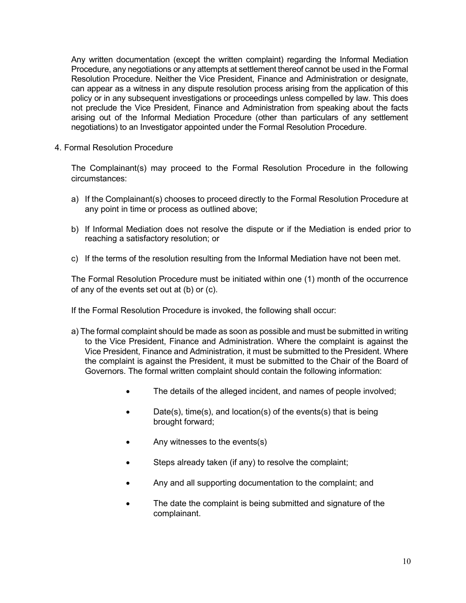Any written documentation (except the written complaint) regarding the Informal Mediation Procedure, any negotiations or any attempts at settlement thereof cannot be used in the Formal Resolution Procedure. Neither the Vice President, Finance and Administration or designate, can appear as a witness in any dispute resolution process arising from the application of this policy or in any subsequent investigations or proceedings unless compelled by law. This does not preclude the Vice President, Finance and Administration from speaking about the facts arising out of the Informal Mediation Procedure (other than particulars of any settlement negotiations) to an Investigator appointed under the Formal Resolution Procedure.

4. Formal Resolution Procedure

The Complainant(s) may proceed to the Formal Resolution Procedure in the following circumstances:

- a) If the Complainant(s) chooses to proceed directly to the Formal Resolution Procedure at any point in time or process as outlined above;
- b) If Informal Mediation does not resolve the dispute or if the Mediation is ended prior to reaching a satisfactory resolution; or
- c) If the terms of the resolution resulting from the Informal Mediation have not been met.

The Formal Resolution Procedure must be initiated within one (1) month of the occurrence of any of the events set out at (b) or (c).

If the Formal Resolution Procedure is invoked, the following shall occur:

- a) The formal complaint should be made as soon as possible and must be submitted in writing to the Vice President, Finance and Administration. Where the complaint is against the Vice President, Finance and Administration, it must be submitted to the President. Where the complaint is against the President, it must be submitted to the Chair of the Board of Governors. The formal written complaint should contain the following information:
	- The details of the alleged incident, and names of people involved;
	- Date(s), time(s), and location(s) of the events(s) that is being brought forward;
	- Any witnesses to the events(s)
	- Steps already taken (if any) to resolve the complaint;
	- Any and all supporting documentation to the complaint; and
	- The date the complaint is being submitted and signature of the complainant.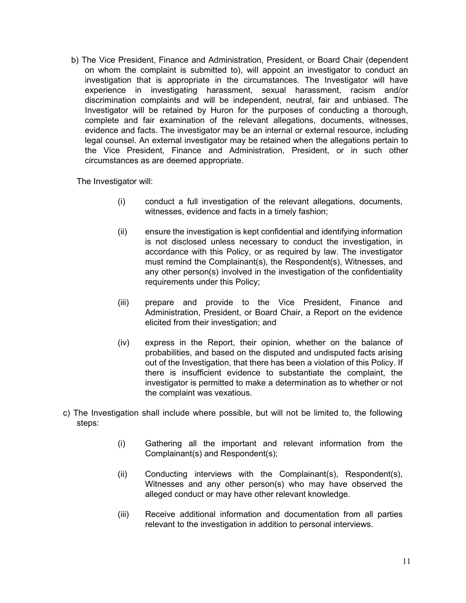b) The Vice President, Finance and Administration, President, or Board Chair (dependent on whom the complaint is submitted to), will appoint an investigator to conduct an investigation that is appropriate in the circumstances. The Investigator will have experience in investigating harassment, sexual harassment, racism and/or discrimination complaints and will be independent, neutral, fair and unbiased. The Investigator will be retained by Huron for the purposes of conducting a thorough, complete and fair examination of the relevant allegations, documents, witnesses, evidence and facts. The investigator may be an internal or external resource, including legal counsel. An external investigator may be retained when the allegations pertain to the Vice President, Finance and Administration, President, or in such other circumstances as are deemed appropriate.

The Investigator will:

- (i) conduct a full investigation of the relevant allegations, documents, witnesses, evidence and facts in a timely fashion;
- (ii) ensure the investigation is kept confidential and identifying information is not disclosed unless necessary to conduct the investigation, in accordance with this Policy, or as required by law. The investigator must remind the Complainant(s), the Respondent(s), Witnesses, and any other person(s) involved in the investigation of the confidentiality requirements under this Policy;
- (iii) prepare and provide to the Vice President, Finance and Administration, President, or Board Chair, a Report on the evidence elicited from their investigation; and
- (iv) express in the Report, their opinion, whether on the balance of probabilities, and based on the disputed and undisputed facts arising out of the Investigation, that there has been a violation of this Policy. If there is insufficient evidence to substantiate the complaint, the investigator is permitted to make a determination as to whether or not the complaint was vexatious.
- c) The Investigation shall include where possible, but will not be limited to, the following steps:
	- (i) Gathering all the important and relevant information from the Complainant(s) and Respondent(s);
	- (ii) Conducting interviews with the Complainant(s), Respondent(s), Witnesses and any other person(s) who may have observed the alleged conduct or may have other relevant knowledge.
	- (iii) Receive additional information and documentation from all parties relevant to the investigation in addition to personal interviews.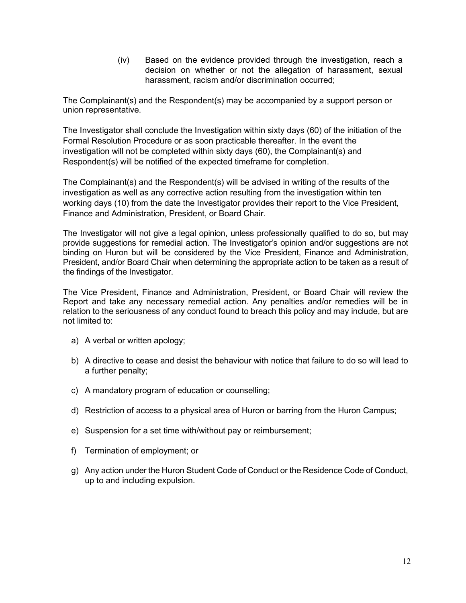(iv) Based on the evidence provided through the investigation, reach a decision on whether or not the allegation of harassment, sexual harassment, racism and/or discrimination occurred;

The Complainant(s) and the Respondent(s) may be accompanied by a support person or union representative.

The Investigator shall conclude the Investigation within sixty days (60) of the initiation of the Formal Resolution Procedure or as soon practicable thereafter. In the event the investigation will not be completed within sixty days (60), the Complainant(s) and Respondent(s) will be notified of the expected timeframe for completion.

The Complainant(s) and the Respondent(s) will be advised in writing of the results of the investigation as well as any corrective action resulting from the investigation within ten working days (10) from the date the Investigator provides their report to the Vice President, Finance and Administration, President, or Board Chair.

The Investigator will not give a legal opinion, unless professionally qualified to do so, but may provide suggestions for remedial action. The Investigator's opinion and/or suggestions are not binding on Huron but will be considered by the Vice President, Finance and Administration, President, and/or Board Chair when determining the appropriate action to be taken as a result of the findings of the Investigator.

The Vice President, Finance and Administration, President, or Board Chair will review the Report and take any necessary remedial action. Any penalties and/or remedies will be in relation to the seriousness of any conduct found to breach this policy and may include, but are not limited to:

- a) A verbal or written apology;
- b) A directive to cease and desist the behaviour with notice that failure to do so will lead to a further penalty;
- c) A mandatory program of education or counselling;
- d) Restriction of access to a physical area of Huron or barring from the Huron Campus;
- e) Suspension for a set time with/without pay or reimbursement;
- f) Termination of employment; or
- g) Any action under the Huron Student Code of Conduct or the Residence Code of Conduct, up to and including expulsion.